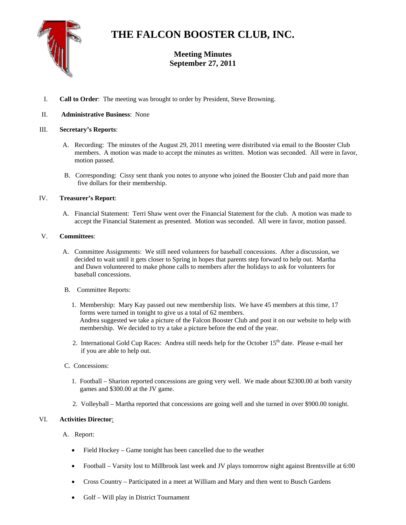

# **THE FALCON BOOSTER CLUB, INC.**

# **Meeting Minutes September 27, 2011**

I. **Call to Order**: The meeting was brought to order by President, Steve Browning.

### II. **Administrative Business**: None

#### III. **Secretary's Reports**:

- A. Recording: The minutes of the August 29, 2011 meeting were distributed via email to the Booster Club members. A motion was made to accept the minutes as written. Motion was seconded. All were in favor, motion passed.
- B. Corresponding: Cissy sent thank you notes to anyone who joined the Booster Club and paid more than five dollars for their membership.

#### IV. **Treasurer's Report**:

A. Financial Statement: Terri Shaw went over the Financial Statement for the club. A motion was made to accept the Financial Statement as presented. Motion was seconded. All were in favor, motion passed.

#### V. **Committees**:

- A. Committee Assignments: We still need volunteers for baseball concessions. After a discussion, we decided to wait until it gets closer to Spring in hopes that parents step forward to help out. Martha and Dawn volunteered to make phone calls to members after the holidays to ask for volunteers for baseball concessions.
- B. Committee Reports:
	- 1. Membership: Mary Kay passed out new membership lists. We have 45 members at this time, 17 forms were turned in tonight to give us a total of 62 members. Andrea suggested we take a picture of the Falcon Booster Club and post it on our website to help with membership. We decided to try a take a picture before the end of the year.
	- 2. International Gold Cup Races: Andrea still needs help for the October 15<sup>th</sup> date. Please e-mail her if you are able to help out.
- C. Concessions:
	- 1. Football Sharion reported concessions are going very well. We made about \$2300.00 at both varsity games and \$300.00 at the JV game.
	- 2. Volleyball Martha reported that concessions are going well and she turned in over \$900.00 tonight.

## VI. **Activities Director**:

#### A. Report:

- Field Hockey Game tonight has been cancelled due to the weather
- Football Varsity lost to Millbrook last week and JV plays tomorrow night against Brentsville at 6:00
- Cross Country Participated in a meet at William and Mary and then went to Busch Gardens
- Golf Will play in District Tournament